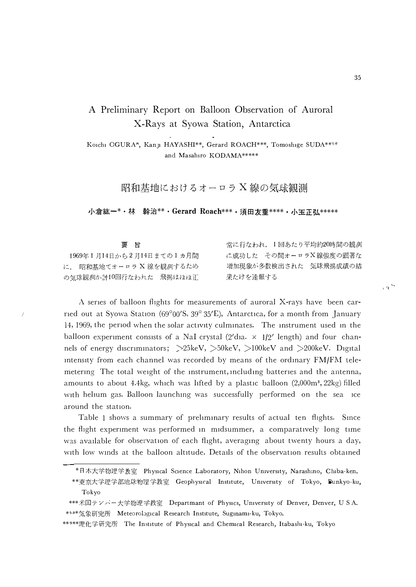## A Preliminary Report on Balloon Observation of Auroral X-Rays at Syowa Station, Antarctica

Koichi OGURA\*, Kanji HAYASHI\*\*, Gerard ROACH\*\*\*, Tomoshige SUDA\*\*\*\* and Masahiro KODAMA \*\*\*\*\*

昭和基地におけるオーロラ X線の気球観測

小倉紘一\*・林 幹治\*\*・Gerard Roach\*\*\*・須田友重\*\*\*\*・小玉正弘\*\*\*\*\*

| 要 旨                      | 常に行なわれ、1回あたり平均約20時間の観側 |
|--------------------------|------------------------|
| 1969年1月14日から2月14日まての1カ月間 | に成功した その間オーロラX線強度の顕著な  |
| に、 昭和基地てオーロラ X 線を観側するため  | 増加現象が多数検出された 気球飛揚成績の結  |
| の気球観側か計10回行なわれた 飛揚はほほ正   | 果たけを速報する               |

A series of balloon flights for measurements of auroral X-rays have been carried out at Syowa Station (69°00'S, 39° 35'E), Antarctica, for a month from January 14, 1969, the period when the solar activity culminates. The instrument used in the balloon experiment consists of a NaI crystal  $(2'da. \times 1/2'$  length) and four channels of energy discriminators;  $>25\text{keV}$ ,  $>50\text{keV}$ ,  $>100\text{keV}$  and  $>200\text{keV}$ . Digital intensity from each channel was recorded by means of the ordinary FM/FM telemetering. The total weight of the instrument, including batteries and the antenna, amounts to about 4.4kg, which was lifted by a plastic balloon (2,000m<sup>3</sup>, 22kg) filled with helium gas. Balloon launching was successfully performed on the sea ice around the station.

1

Table 1 shows a summary of preliminary results of actual ten flights. Since the flight experiment was performed in midsummer, a comparatively long time was available for observation of each flight, averaging about twenty hours a day, with low winds at the balloon altitude. Details of the observation results obtained

 $\sim$ 

<sup>\*</sup>日木大学物理学教室 Physical Science Laboratory, Nihon University, Narashino, Chiba-ken.

<sup>\*\*</sup>東京大学理学部地球物理学教室 Geophysical Institute, University of Tokyo, Bunkyo-ku, Tokyo

<sup>\*\*\*</sup>米国テンパー大学物理学教室 Departmant of Physics, University of Denver, Denver, USA. \*\*\*\*気象研究所 Meteorological Research Institute, Suginami-ku, Tokyo.

<sup>\*\*\*\*\*</sup>理化学研究所 The Institute of Physical and Chemical Research, Itabashi-ku, Tokyo